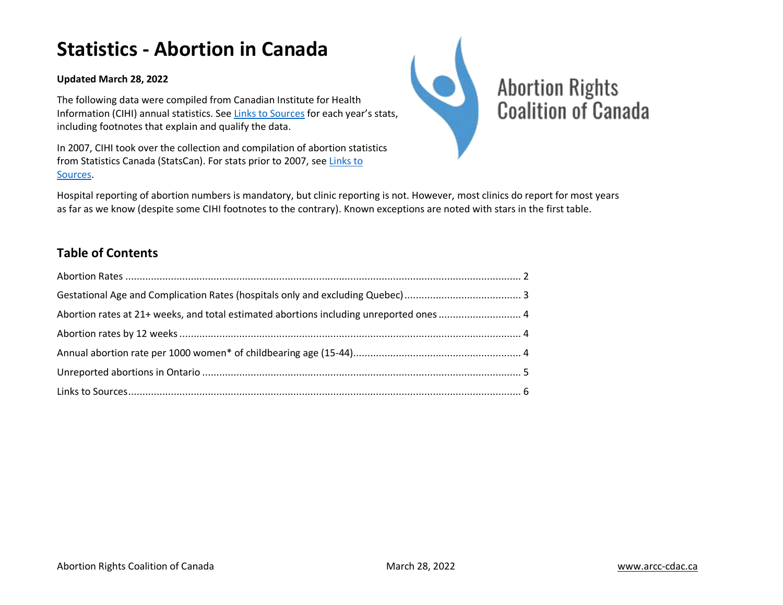# **Statistics - Abortion in Canada**

#### **Updated March 28, 2022**

The following data were compiled from Canadian Institute for Health Information (CIHI) annual statistics. Se[e Links to Sources](#page-5-0) for each year's stats, including footnotes that explain and qualify the data.

In 2007, CIHI took over the collection and compilation of abortion statistics from Statistics Canada (StatsCan). For stats prior to 2007, see [Links to](#page-5-0)  [Sources.](#page-5-0)



Hospital reporting of abortion numbers is mandatory, but clinic reporting is not. However, most clinics do report for most years as far as we know (despite some CIHI footnotes to the contrary). Known exceptions are noted with stars in the first table.

## **Table of Contents**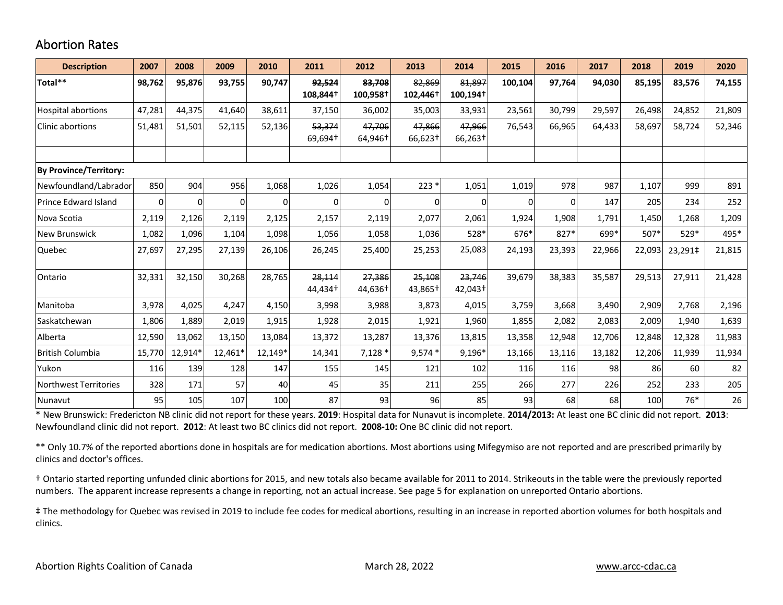#### <span id="page-1-0"></span>Abortion Rates

| <b>Description</b>            | 2007     | 2008    | 2009    | 2010     | 2011               | 2012               | 2013                  | 2014                           | 2015    | 2016   | 2017   | 2018   | 2019    | 2020   |
|-------------------------------|----------|---------|---------|----------|--------------------|--------------------|-----------------------|--------------------------------|---------|--------|--------|--------|---------|--------|
| Total**                       | 98,762   | 95,876  | 93,755  | 90,747   | 92,524<br>108,844+ | 83,708<br>100,958+ | 82,869<br>$102,446^+$ | 81,897<br>100,194 <sup>+</sup> | 100,104 | 97,764 | 94,030 | 85,195 | 83,576  | 74,155 |
| Hospital abortions            | 47,281   | 44,375  | 41,640  | 38,611   | 37,150             | 36,002             | 35,003                | 33,931                         | 23,561  | 30,799 | 29,597 | 26,498 | 24,852  | 21,809 |
| Clinic abortions              | 51,481   | 51,501  | 52,115  | 52,136   | 53,374<br>69,694†  | 47,706<br>64,946†  | 47,866<br>66,623†     | 47,966<br>66,263†              | 76,543  | 66,965 | 64,433 | 58,697 | 58,724  | 52,346 |
|                               |          |         |         |          |                    |                    |                       |                                |         |        |        |        |         |        |
| <b>By Province/Territory:</b> |          |         |         |          |                    |                    |                       |                                |         |        |        |        |         |        |
| Newfoundland/Labrador         | 850      | 904     | 956     | 1,068    | 1,026              | 1,054              | $223*$                | 1,051                          | 1,019   | 978    | 987    | 1,107  | 999     | 891    |
| <b>Prince Edward Island</b>   | $\Omega$ |         | 0       | $\Omega$ | $\Omega$           | ΩI                 | 0                     | $\Omega$                       | 0       | 0      | 147    | 205    | 234     | 252    |
| Nova Scotia                   | 2,119    | 2,126   | 2,119   | 2,125    | 2,157              | 2,119              | 2,077                 | 2,061                          | 1,924   | 1,908  | 1,791  | 1,450  | 1,268   | 1,209  |
| <b>New Brunswick</b>          | 1,082    | 1,096   | 1,104   | 1,098    | 1,056              | 1,058              | 1,036                 | 528*                           | 676*    | 827*   | 699*   | 507*   | $529*$  | 495*   |
| Quebec                        | 27,697   | 27,295  | 27,139  | 26,106   | 26,245             | 25,400             | 25,253                | 25,083                         | 24,193  | 23,393 | 22,966 | 22,093 | 23,291‡ | 21,815 |
| Ontario                       | 32,331   | 32,150  | 30,268  | 28,765   | 28,114<br>44.434†  | 27,386<br>44,636†  | 25,108<br>43,865†     | 23,746<br>42,043†              | 39,679  | 38,383 | 35,587 | 29,513 | 27,911  | 21,428 |
| Manitoba                      | 3,978    | 4,025   | 4,247   | 4,150    | 3,998              | 3,988              | 3,873                 | 4,015                          | 3,759   | 3,668  | 3,490  | 2,909  | 2,768   | 2,196  |
| Saskatchewan                  | 1,806    | 1,889   | 2,019   | 1,915    | 1,928              | 2,015              | 1,921                 | 1,960                          | 1,855   | 2,082  | 2,083  | 2,009  | 1,940   | 1,639  |
| Alberta                       | 12,590   | 13,062  | 13,150  | 13,084   | 13,372             | 13,287             | 13,376                | 13,815                         | 13,358  | 12,948 | 12,706 | 12,848 | 12,328  | 11,983 |
| <b>British Columbia</b>       | 15,770   | 12,914* | 12,461* | 12,149*  | 14,341             | $7,128*$           | $9,574*$              | 9,196*                         | 13,166  | 13,116 | 13,182 | 12,206 | 11,939  | 11,934 |
| Yukon                         | 116      | 139     | 128     | 147      | 155                | 145                | 121                   | 102                            | 116     | 116    | 98     | 86     | 60      | 82     |
| <b>Northwest Territories</b>  | 328      | 171     | 57      | 40       | 45                 | 35                 | 211                   | 255                            | 266     | 277    | 226    | 252    | 233     | 205    |
| Nunavut                       | 95       | 105     | 107     | 100      | 87                 | 93                 | 96                    | 85                             | 93      | 68     | 68     | 100    | $76*$   | 26     |

\* New Brunswick: Fredericton NB clinic did not report for these years. **2019**: Hospital data for Nunavut is incomplete. **2014/2013:** At least one BC clinic did not report. **2013**: Newfoundland clinic did not report. **2012**: At least two BC clinics did not report. **2008-10:** One BC clinic did not report.

\*\* Only 10.7% of the reported abortions done in hospitals are for medication abortions. Most abortions using Mifegymiso are not reported and are prescribed primarily by clinics and doctor's offices.

† Ontario started reporting unfunded clinic abortions for 2015, and new totals also became available for 2011 to 2014. Strikeouts in the table were the previously reported numbers. The apparent increase represents a change in reporting, not an actual increase. See page 5 for explanation on unreported Ontario abortions.

‡ The methodology for Quebec was revised in 2019 to include fee codes for medical abortions, resulting in an increase in reported abortion volumes for both hospitals and clinics.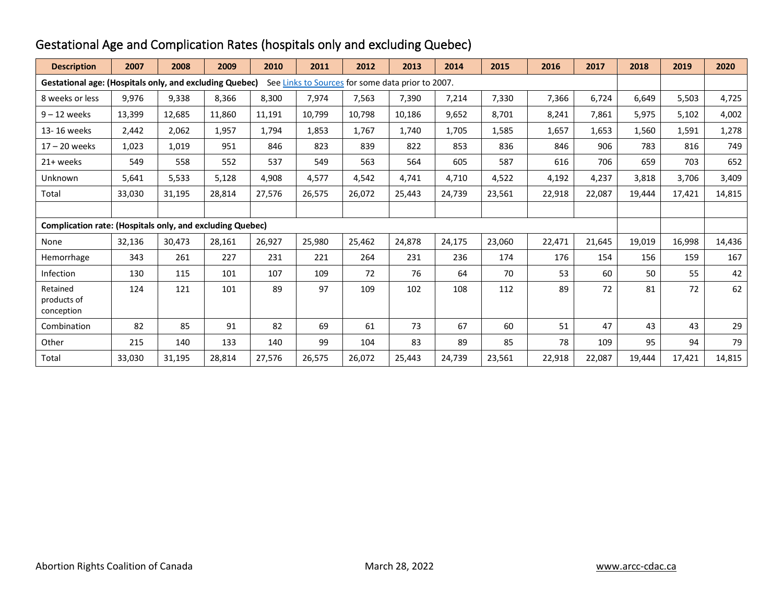| <b>Description</b>                                                                                                  | 2007   | 2008   | 2009   | 2010   | 2011   | 2012   | 2013   | 2014   | 2015   | 2016   | 2017   | 2018   | 2019   | 2020   |
|---------------------------------------------------------------------------------------------------------------------|--------|--------|--------|--------|--------|--------|--------|--------|--------|--------|--------|--------|--------|--------|
| <b>Gestational age: (Hospitals only, and excluding Quebec)</b><br>See Links to Sources for some data prior to 2007. |        |        |        |        |        |        |        |        |        |        |        |        |        |        |
| 8 weeks or less                                                                                                     | 9,976  | 9,338  | 8,366  | 8,300  | 7,974  | 7,563  | 7,390  | 7,214  | 7,330  | 7,366  | 6,724  | 6,649  | 5,503  | 4,725  |
| $9 - 12$ weeks                                                                                                      | 13,399 | 12,685 | 11,860 | 11,191 | 10,799 | 10,798 | 10,186 | 9,652  | 8,701  | 8,241  | 7,861  | 5,975  | 5,102  | 4,002  |
| 13-16 weeks                                                                                                         | 2,442  | 2,062  | 1,957  | 1,794  | 1,853  | 1,767  | 1,740  | 1,705  | 1,585  | 1,657  | 1,653  | 1,560  | 1,591  | 1,278  |
| $17 - 20$ weeks                                                                                                     | 1,023  | 1,019  | 951    | 846    | 823    | 839    | 822    | 853    | 836    | 846    | 906    | 783    | 816    | 749    |
| 21+ weeks                                                                                                           | 549    | 558    | 552    | 537    | 549    | 563    | 564    | 605    | 587    | 616    | 706    | 659    | 703    | 652    |
| Unknown                                                                                                             | 5,641  | 5,533  | 5,128  | 4,908  | 4,577  | 4,542  | 4,741  | 4,710  | 4,522  | 4,192  | 4,237  | 3,818  | 3,706  | 3,409  |
| Total                                                                                                               | 33,030 | 31,195 | 28,814 | 27,576 | 26,575 | 26.072 | 25,443 | 24.739 | 23,561 | 22,918 | 22,087 | 19,444 | 17.421 | 14,815 |
|                                                                                                                     |        |        |        |        |        |        |        |        |        |        |        |        |        |        |
| <b>Complication rate: (Hospitals only, and excluding Quebec)</b>                                                    |        |        |        |        |        |        |        |        |        |        |        |        |        |        |
| None                                                                                                                | 32,136 | 30,473 | 28,161 | 26,927 | 25,980 | 25,462 | 24,878 | 24,175 | 23,060 | 22,471 | 21,645 | 19,019 | 16,998 | 14,436 |
| Hemorrhage                                                                                                          | 343    | 261    | 227    | 231    | 221    | 264    | 231    | 236    | 174    | 176    | 154    | 156    | 159    | 167    |
| Infection                                                                                                           | 130    | 115    | 101    | 107    | 109    | 72     | 76     | 64     | 70     | 53     | 60     | 50     | 55     | 42     |
| Retained<br>products of<br>conception                                                                               | 124    | 121    | 101    | 89     | 97     | 109    | 102    | 108    | 112    | 89     | 72     | 81     | 72     | 62     |
| Combination                                                                                                         | 82     | 85     | 91     | 82     | 69     | 61     | 73     | 67     | 60     | 51     | 47     | 43     | 43     | 29     |
| Other                                                                                                               | 215    | 140    | 133    | 140    | 99     | 104    | 83     | 89     | 85     | 78     | 109    | 95     | 94     | 79     |
| Total                                                                                                               | 33,030 | 31,195 | 28,814 | 27,576 | 26,575 | 26,072 | 25,443 | 24,739 | 23,561 | 22,918 | 22,087 | 19,444 | 17,421 | 14,815 |

## <span id="page-2-0"></span>Gestational Age and Complication Rates (hospitals only and excluding Quebec)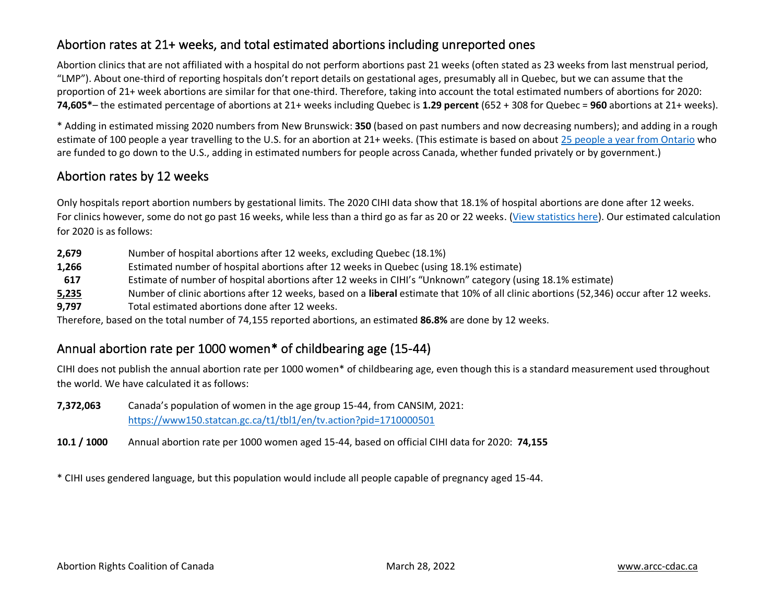## <span id="page-3-0"></span>Abortion rates at 21+ weeks, and total estimated abortions including unreported ones

Abortion clinics that are not affiliated with a hospital do not perform abortions past 21 weeks (often stated as 23 weeks from last menstrual period, "LMP"). About one-third of reporting hospitals don't report details on gestational ages, presumably all in Quebec, but we can assume that the proportion of 21+ week abortions are similar for that one-third. Therefore, taking into account the total estimated numbers of abortions for 2020: **74,605\***– the estimated percentage of abortions at 21+ weeks including Quebec is **1.29 percent** (652 + 308 for Quebec = **960** abortions at 21+ weeks).

\* Adding in estimated missing 2020 numbers from New Brunswick: **350** (based on past numbers and now decreasing numbers); and adding in a rough estimate of 100 people a year travelling to the U.S. for an abortion at 21+ weeks. (This estimate is based on about 25 people [a year from Ontario](https://globalnews.ca/news/4354376/donald-trump-abortion-rights-canada-access/) who are funded to go down to the U.S., adding in estimated numbers for people across Canada, whether funded privately or by government.)

## <span id="page-3-1"></span>Abortion rates by 12 weeks

Only hospitals report abortion numbers by gestational limits. The 2020 CIHI data show that 18.1% of hospital abortions are done after 12 weeks. For clinics however, some do not go past 16 weeks, while less than a third go as far as 20 or 22 weeks. [\(View statistics here\)](https://www.arcc-cdac.ca/wp-content/uploads/2020/08/list-abortion-clinics-canada.pdf). Our estimated calculation for 2020 is as follows:

- **2,679** Number of hospital abortions after 12 weeks, excluding Quebec (18.1%)
- **1,266** Estimated number of hospital abortions after 12 weeks in Quebec (using 18.1% estimate)
- **617** Estimate of number of hospital abortions after 12 weeks in CIHI's "Unknown" category (using 18.1% estimate)
- **5,235** Number of clinic abortions after 12 weeks, based on a **liberal** estimate that 10% of all clinic abortions (52,346) occur after 12 weeks.
- **9,797** Total estimated abortions done after 12 weeks.

Therefore, based on the total number of 74,155 reported abortions, an estimated **86.8%** are done by 12 weeks.

## <span id="page-3-2"></span>Annual abortion rate per 1000 women\* of childbearing age (15-44)

CIHI does not publish the annual abortion rate per 1000 women\* of childbearing age, even though this is a standard measurement used throughout the world. We have calculated it as follows:

- **7,372,063** Canada's population of women in the age group 15-44, from CANSIM, 2021: <https://www150.statcan.gc.ca/t1/tbl1/en/tv.action?pid=1710000501>
- **10.1 / 1000** Annual abortion rate per 1000 women aged 15-44, based on official CIHI data for 2020: **74,155**

\* CIHI uses gendered language, but this population would include all people capable of pregnancy aged 15-44.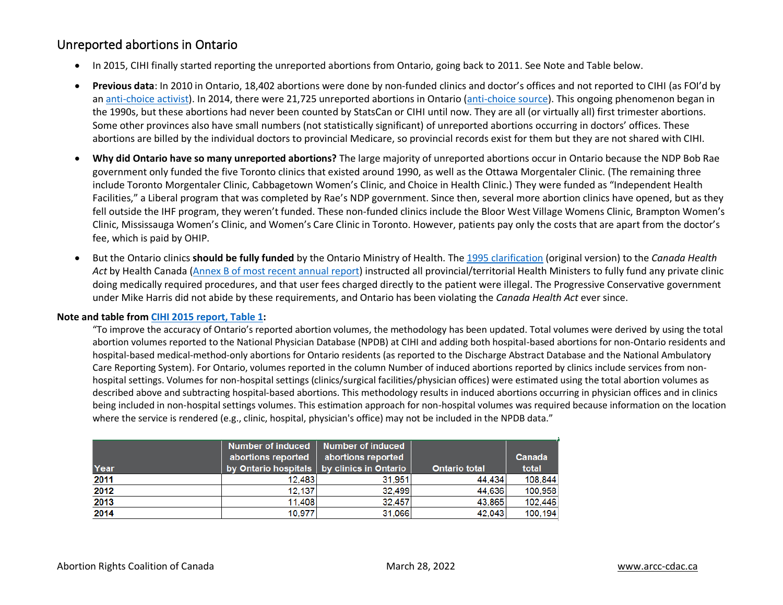#### <span id="page-4-0"></span>Unreported abortions in Ontario

- In 2015, CIHI finally started reporting the unreported abortions from Ontario, going back to 2011. See Note and Table below.
- **Previous data**: In 2010 in Ontario, 18,402 abortions were done by non-funded clinics and doctor's offices and not reported to CIHI (as FOI'd by an [anti-choice activist\)](http://run-with-life.blogspot.ca/2013/01/the-hidden-cost-of-abortion-in-ontario.html). In 2014, there were 21,725 unreported abortions in Ontario [\(anti-choice source\)](https://run-with-life.blogspot.ca/2017/02/guess-how-many-abortions-were-done-in.html). This ongoing phenomenon began in the 1990s, but these abortions had never been counted by StatsCan or CIHI until now. They are all (or virtually all) first trimester abortions. Some other provinces also have small numbers (not statistically significant) of unreported abortions occurring in doctors' offices. These abortions are billed by the individual doctors to provincial Medicare, so provincial records exist for them but they are not shared with CIHI.
- **Why did Ontario have so many unreported abortions?** The large majority of unreported abortions occur in Ontario because the NDP Bob Rae government only funded the five Toronto clinics that existed around 1990, as well as the Ottawa Morgentaler Clinic. (The remaining three include Toronto Morgentaler Clinic, Cabbagetown Women's Clinic, and Choice in Health Clinic.) They were funded as "Independent Health Facilities," a Liberal program that was completed by Rae's NDP government. Since then, several more abortion clinics have opened, but as they fell outside the IHF program, they weren't funded. These non-funded clinics include the Bloor West Village Womens Clinic, Brampton Women's Clinic, Mississauga Women's Clinic, and Women's Care Clinic in Toronto. However, patients pay only the costs that are apart from the doctor's fee, which is paid by OHIP.
- But the Ontario clinics **should be fully funded** by the Ontario Ministry of Health. The [1995 clarification](https://www.arcc-cdac.ca/wp-content/uploads/2020/07/HC-letter-Jan1995.pdf) (original version) to the *Canada Health Act* by Health Canada [\(Annex B of most recent annual report\)](https://www.canada.ca/en/health-canada/services/health-care-system/reports-publications/canada-health-act-annual-reports.html) instructed all provincial/territorial Health Ministers to fully fund any private clinic doing medically required procedures, and that user fees charged directly to the patient were illegal. The Progressive Conservative government under Mike Harris did not abide by these requirements, and Ontario has been violating the *Canada Health Act* ever since.

#### **Note and table from [CIHI 2015 report, Table 1:](https://www.cihi.ca/sites/default/files/document/induced-abortion-can-2015-en-web.xlsx)**

"To improve the accuracy of Ontario's reported abortion volumes, the methodology has been updated. Total volumes were derived by using the total abortion volumes reported to the National Physician Database (NPDB) at CIHI and adding both hospital-based abortions for non-Ontario residents and hospital-based medical-method-only abortions for Ontario residents (as reported to the Discharge Abstract Database and the National Ambulatory Care Reporting System). For Ontario, volumes reported in the column Number of induced abortions reported by clinics include services from nonhospital settings. Volumes for non-hospital settings (clinics/surgical facilities/physician offices) were estimated using the total abortion volumes as described above and subtracting hospital-based abortions. This methodology results in induced abortions occurring in physician offices and in clinics being included in non-hospital settings volumes. This estimation approach for non-hospital volumes was required because information on the location where the service is rendered (e.g., clinic, hospital, physician's office) may not be included in the NPDB data."

|      | Number of induced   Number of induced<br>abortions reported | abortions reported |                      | Canada  |
|------|-------------------------------------------------------------|--------------------|----------------------|---------|
| Year | by Ontario hospitals by clinics in Ontario                  |                    | <b>Ontario total</b> | total   |
| 2011 | 12.483                                                      | 31,951             | 44.434               | 108,844 |
| 2012 | 12,137                                                      | 32.499             | 44.636               | 100,958 |
| 2013 | 11.408                                                      | 32.457             | 43.865               | 102,446 |
| 2014 | 10.977                                                      | 31,066             | 42.043               | 100,194 |